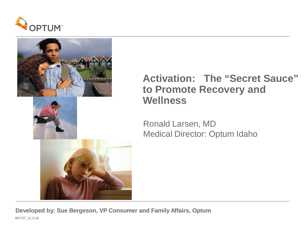



#### **Activation: The "Secret Sauce" to Promote Recovery and Wellness**

Ronald Larsen, MD Medical Director: Optum Idaho

**Developed by: Sue Bergeson, VP Consumer and Family Affairs, Optum** BH737\_11.3.16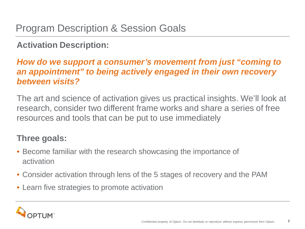#### **Activation Description:**

#### *How do we support a consumer's movement from just "coming to an appointment" to being actively engaged in their own recovery between visits?*

The art and science of activation gives us practical insights. We'll look at research, consider two different frame works and share a series of free resources and tools that can be put to use immediately

#### **Three goals:**

- Become familiar with the research showcasing the importance of activation
- Consider activation through lens of the 5 stages of recovery and the PAM
- Learn five strategies to promote activation

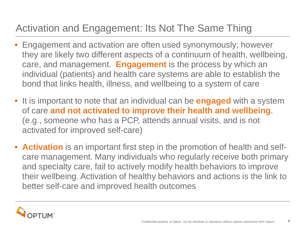# Activation and Engagement: Its Not The Same Thing

- Engagement and activation are often used synonymously; however they are likely two different aspects of a continuum of health, wellbeing, care, and management. **Engagement** is the process by which an individual (patients) and health care systems are able to establish the bond that links health, illness, and wellbeing to a system of care
- It is important to note that an individual can be **engaged** with a system of care **and not activated to improve their health and wellbeing**. (e.g., someone who has a PCP, attends annual visits, and is not activated for improved self-care)
- **Activation** is an important first step in the promotion of health and selfcare management. Many individuals who regularly receive both primary and specialty care, fail to actively modify health behaviors to improve their wellbeing. Activation of healthy behaviors and actions is the link to better self-care and improved health outcomes

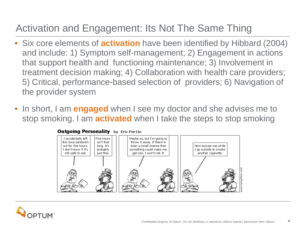# Activation and Engagement: Its Not The Same Thing

- Six core elements of **activation** have been identified by Hibbard (2004) and include: 1) Symptom self-management; 2) Engagement in actions that support health and functioning maintenance; 3) Involvement in treatment decision making; 4) Collaboration with health care providers; 5) Critical, performance-based selection of providers; 6) Navigation of the provider system
- In short, I am **engaged** when I see my doctor and she advises me to stop smoking. I am **activated** when I take the steps to stop smoking



#### **Outgoing Personality** by Eric Per1in

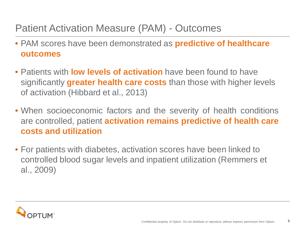#### Patient Activation Measure (PAM) - Outcomes

- PAM scores have been demonstrated as **predictive of healthcare outcomes**
- Patients with **low levels of activation** have been found to have significantly **greater health care costs** than those with higher levels of activation (Hibbard et al., 2013)
- When socioeconomic factors and the severity of health conditions are controlled, patient **activation remains predictive of health care costs and utilization**
- For patients with diabetes, activation scores have been linked to controlled blood sugar levels and inpatient utilization (Remmers et al., 2009)

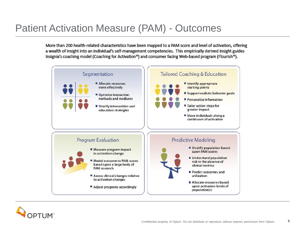#### Patient Activation Measure (PAM) - Outcomes

More than 200 health-related characteristics have been mapped to a PAM score and level of activation, offering a wealth of insight into an individual's self-management competencies. This empirically derived insight guides Insignia's coaching model (Coaching for Activation<sup>®</sup>) and consumer facing Web-based program (Flourish<sup>®</sup>).



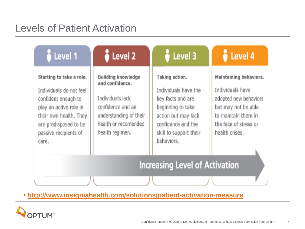# Levels of Patient Activation

| Level 1                                                                                                                                                                                   | Level <sub>2</sub>                                                                                                                                  | Level 3                                                                                                                                                               | $\frac{3}{9}$ Level 4                                                                                                                                        |  |
|-------------------------------------------------------------------------------------------------------------------------------------------------------------------------------------------|-----------------------------------------------------------------------------------------------------------------------------------------------------|-----------------------------------------------------------------------------------------------------------------------------------------------------------------------|--------------------------------------------------------------------------------------------------------------------------------------------------------------|--|
| Starting to take a role.<br>Individuals do not feel<br>confident enough to<br>play an active role in<br>their own health. They<br>are predisposed to be<br>passive recipients of<br>care. | Building knowledge<br>and confidence.<br>Individuals lack<br>confidence and an<br>understanding of their<br>health or recomended<br>health regimen. | Taking action.<br>Individuals have the<br>key facts and are<br>beginning to take<br>action but may lack<br>confidence and the<br>skill to support their<br>behaviors. | Maintaining behaviors.<br>Individuals have<br>adopted new behaviors<br>but may not be able<br>to maintain them in<br>the face of stress or<br>health crises. |  |
| <b>Increasing Level of Activation</b>                                                                                                                                                     |                                                                                                                                                     |                                                                                                                                                                       |                                                                                                                                                              |  |
|                                                                                                                                                                                           |                                                                                                                                                     |                                                                                                                                                                       |                                                                                                                                                              |  |

• **<http://www.insigniahealth.com/solutions/patient-activation-measure>**

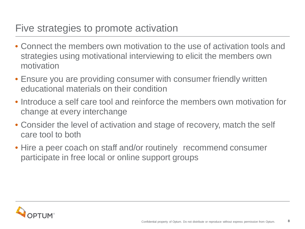#### Five strategies to promote activation

- Connect the members own motivation to the use of activation tools and strategies using motivational interviewing to elicit the members own motivation
- Ensure you are providing consumer with consumer friendly written educational materials on their condition
- Introduce a self care tool and reinforce the members own motivation for change at every interchange
- Consider the level of activation and stage of recovery, match the self care tool to both
- Hire a peer coach on staff and/or routinely recommend consumer participate in free local or online support groups

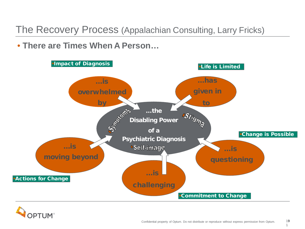The Recovery Process (Appalachian Consulting, Larry Fricks)

• **There are Times When A Person…**





1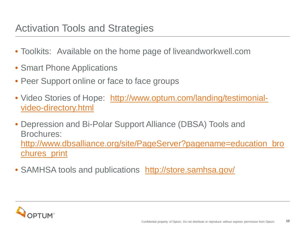#### Activation Tools and Strategies

- Toolkits: Available on the home page of liveandworkwell.com
- Smart Phone Applications
- Peer Support online or face to face groups
- Video Stories of Hope: [http://www.optum.com/landing/testimonial](http://www.optum.com/landing/testimonial-video-directory.html)[video-directory.html](http://www.optum.com/landing/testimonial-video-directory.html)
- Depression and Bi-Polar Support Alliance (DBSA) Tools and Brochures: [http://www.dbsalliance.org/site/PageServer?pagename=education\\_bro](http://www.dbsalliance.org/site/PageServer?pagename=education_brochures_print) [chures\\_print](http://www.dbsalliance.org/site/PageServer?pagename=education_brochures_print)
- SAMHSA tools and publications <http://store.samhsa.gov/>

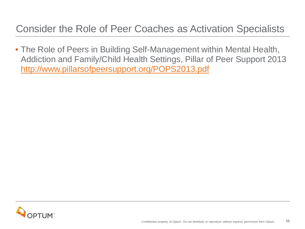#### Consider the Role of Peer Coaches as Activation Specialists

• The Role of Peers in Building Self-Management within Mental Health, Addiction and Family/Child Health Settings, Pillar of Peer Support 2013 <http://www.pillarsofpeersupport.org/POPS2013.pdf>

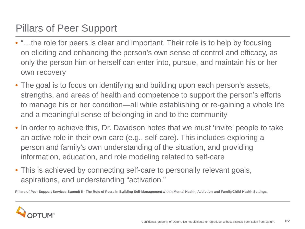# Pillars of Peer Support

- "…the role for peers is clear and important. Their role is to help by focusing on eliciting and enhancing the person's own sense of control and efficacy, as only the person him or herself can enter into, pursue, and maintain his or her own recovery
- The goal is to focus on identifying and building upon each person's assets, strengths, and areas of health and competence to support the person's efforts to manage his or her condition—all while establishing or re-gaining a whole life and a meaningful sense of belonging in and to the community
- In order to achieve this, Dr. Davidson notes that we must 'invite' people to take an active role in their own care (e.g., self-care). This includes exploring a person and family's own understanding of the situation, and providing information, education, and role modeling related to self-care
- This is achieved by connecting self-care to personally relevant goals, aspirations, and understanding "activation."

Pillars of Peer Support Services Summit 5 - The Role of Peers in Building Self-Management within Mental Health, Addiction and Family/Child Health Settings.

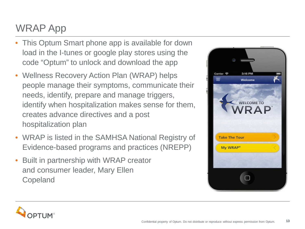# WRAP App

- This Optum Smart phone app is available for down load in the I-tunes or google play stores using the code "Optum" to unlock and download the app
- Wellness Recovery Action Plan (WRAP) helps people manage their symptoms, communicate their needs, identify, prepare and manage triggers, identify when hospitalization makes sense for them, creates advance directives and a post hospitalization plan
- WRAP is listed in the SAMHSA National Registry of Evidence-based programs and practices (NREPP)
- Built in partnership with WRAP creator and consumer leader, Mary Ellen Copeland



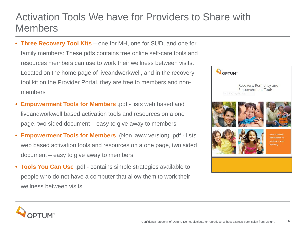#### Activation Tools We have for Providers to Share with Members

- **Three Recovery Tool Kits**  one for MH, one for SUD, and one for family members: These pdfs contains free online self-care tools and resources members can use to work their wellness between visits. Located on the home page of liveandworkwell, and in the recovery tool kit on the Provider Portal, they are free to members and nonmembers
- **Empowerment Tools for Members** .pdf lists web based and liveandworkwell based activation tools and resources on a one page, two sided document – easy to give away to members
- **Empowerment Tools for Members** (Non laww version) .pdf lists web based activation tools and resources on a one page, two sided document – easy to give away to members
- **Tools You Can Use** .pdf contains simple strategies available to people who do not have a computer that allow them to work their wellness between visits



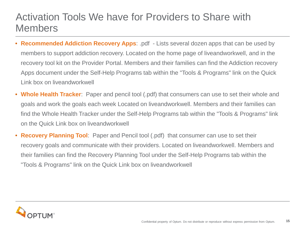#### Activation Tools We have for Providers to Share with Members

- **Recommended Addiction Recovery Apps**: .pdf Lists several dozen apps that can be used by members to support addiction recovery. Located on the home page of liveandworkwell, and in the recovery tool kit on the Provider Portal. Members and their families can find the Addiction recovery Apps document under the Self-Help Programs tab within the "Tools & Programs" link on the Quick Link box on liveandworkwell
- **Whole Health Tracker**: Paper and pencil tool (.pdf) that consumers can use to set their whole and goals and work the goals each week Located on liveandworkwell. Members and their families can find the Whole Health Tracker under the Self-Help Programs tab within the "Tools & Programs" link on the Quick Link box on liveandworkwell
- **Recovery Planning Tool**: Paper and Pencil tool (.pdf) that consumer can use to set their recovery goals and communicate with their providers. Located on liveandworkwell. Members and their families can find the Recovery Planning Tool under the Self-Help Programs tab within the "Tools & Programs" link on the Quick Link box on liveandworkwell

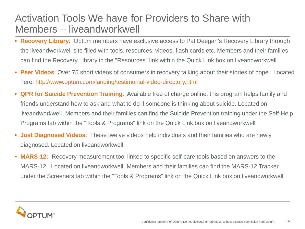#### Activation Tools We have for Providers to Share with Members – liveandworkwell

- **Recovery Library**: Optum members have exclusive access to Pat Deegan's Recovery Library through the liveandworkwell site filled with tools, resources, videos, flash cards etc. Members and their families can find the Recovery Library in the "Resources" link within the Quick Link box on liveandworkwell
- **Peer Videos**: Over 75 short videos of consumers in recovery talking about their stories of hope. Located here:<http://www.optum.com/landing/testimonial-video-directory.html>
- **QPR for Suicide Prevention Training**: Available free of charge online, this program helps family and friends understand how to ask and what to do if someone is thinking about suicide. Located on liveandworkwell. Members and their families can find the Suicide Prevention training under the Self-Help Programs tab within the "Tools & Programs" link on the Quick Link box on liveandworkwell
- **Just Diagnosed Videos**: These twelve videos help individuals and their families who are newly diagnosed. Located on liveandworkwell
- **MARS-12:** Recovery measurement tool linked to specific self-care tools based on answers to the MARS-12. Located on liveandworkwell. Members and their families can find the MARS-12 Tracker under the Screeners tab within the "Tools & Programs" link on the Quick Link box on liveandworkwell

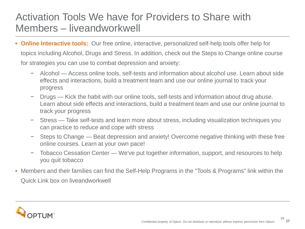#### Activation Tools We have for Providers to Share with Members – liveandworkwell

- **Online Interactive tools:** Our free online, interactive, personalized self-help tools offer help for topics including Alcohol, Drugs and Stress. In addition, check out the Steps to Change online course for strategies you can use to combat depression and anxiety:
	- − Alcohol Access online tools, self-tests and information about alcohol use. Learn about side effects and interactions, build a treatment team and use our online journal to track your progress
	- − Drugs Kick the habit with our online tools, self-tests and information about drug abuse. Learn about side effects and interactions, build a treatment team and use our online journal to track your progress
	- − Stress Take self-tests and learn more about stress, including visualization techniques you can practice to reduce and cope with stress
	- − Steps to Change Beat depression and anxiety! Overcome negative thinking with these free online courses. Learn at your own pace!
	- − Tobacco Cessation Center We've put together information, support, and resources to help you quit tobacco
- Members and their families can find the Self-Help Programs in the "Tools & Programs" link within the Quick Link box on liveandworkwell

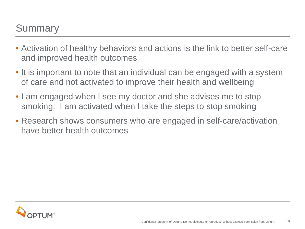#### **Summary**

- Activation of healthy behaviors and actions is the link to better self-care and improved health outcomes
- It is important to note that an individual can be engaged with a system of care and not activated to improve their health and wellbeing
- I am engaged when I see my doctor and she advises me to stop smoking. I am activated when I take the steps to stop smoking
- Research shows consumers who are engaged in self-care/activation have better health outcomes

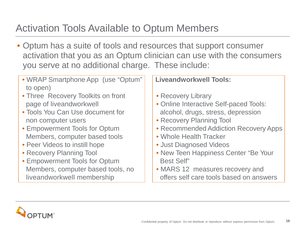## Activation Tools Available to Optum Members

• Optum has a suite of tools and resources that support consumer activation that you as an Optum clinician can use with the consumers you serve at no additional charge. These include:

| • WRAP Smartphone App (use "Optum"<br>to open) | <b>Liveandworkwell Tools:</b>           |
|------------------------------------------------|-----------------------------------------|
| • Three Recovery Toolkits on front             | • Recovery Library                      |
| page of liveandworkwell                        | • Online Interactive Self-paced Tools:  |
| • Tools You Can Use document for               | alcohol, drugs, stress, depression      |
| non computer users                             | • Recovery Planning Tool                |
| • Empowerment Tools for Optum                  | • Recommended Addiction Recovery Apps   |
| Members, computer based tools                  | • Whole Health Tracker                  |
| • Peer Videos to instill hope                  | • Just Diagnosed Videos                 |
| • Recovery Planning Tool                       | • New Teen Happiness Center "Be Your    |
| • Empowerment Tools for Optum                  | <b>Best Self"</b>                       |
| Members, computer based tools, no              | • MARS 12 measures recovery and         |
| liveandworkwell membership                     | offers self care tools based on answers |